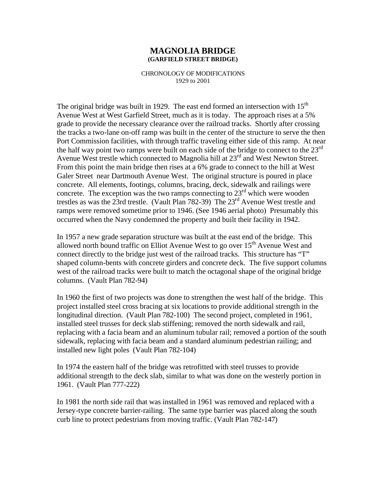## **MAGNOLIA BRIDGE (GARFIELD STREET BRIDGE)**

## CHRONOLOGY OF MODIFICATIONS 1929 to 2001

The original bridge was built in 1929. The east end formed an intersection with  $15<sup>th</sup>$ Avenue West at West Garfield Street, much as it is today. The approach rises at a 5% grade to provide the necessary clearance over the railroad tracks. Shortly after crossing the tracks a two-lane on-off ramp was built in the center of the structure to serve the then Port Commission facilities, with through traffic traveling either side of this ramp. At near the half way point two ramps were built on each side of the bridge to connect to the  $23<sup>rd</sup>$ Avenue West trestle which connected to Magnolia hill at 23<sup>rd</sup> and West Newton Street. From this point the main bridge then rises at a 6% grade to connect to the hill at West Galer Street near Dartmouth Avenue West. The original structure is poured in place concrete. All elements, footings, columns, bracing, deck, sidewalk and railings were concrete. The exception was the two ramps connecting to  $23<sup>rd</sup>$  which were wooden trestles as was the 23rd trestle. (Vault Plan 782-39) The 23rd Avenue West trestle and ramps were removed sometime prior to 1946. (See 1946 aerial photo) Presumably this occurred when the Navy condemned the property and built their facility in 1942.

In 1957 a new grade separation structure was built at the east end of the bridge. This allowed north bound traffic on Elliot Avenue West to go over  $15<sup>th</sup>$  Avenue West and connect directly to the bridge just west of the railroad tracks. This structure has "T" shaped column-bents with concrete girders and concrete deck. The five support columns west of the railroad tracks were built to match the octagonal shape of the original bridge columns. (Vault Plan 782-94)

In 1960 the first of two projects was done to strengthen the west half of the bridge. This project installed steel cross bracing at six locations to provide additional strength in the longitudinal direction. (Vault Plan 782-100) The second project, completed in 1961, installed steel trusses for deck slab stiffening; removed the north sidewalk and rail, replacing with a facia beam and an aluminum tubular rail; removed a portion of the south sidewalk, replacing with facia beam and a standard aluminum pedestrian railing; and installed new light poles (Vault Plan 782-104)

In 1974 the eastern half of the bridge was retrofitted with steel trusses to provide additional strength to the deck slab, similar to what was done on the westerly portion in 1961. (Vault Plan 777-222)

In 1981 the north side rail that was installed in 1961 was removed and replaced with a Jersey-type concrete barrier-railing. The same type barrier was placed along the south curb line to protect pedestrians from moving traffic. (Vault Plan 782-147)